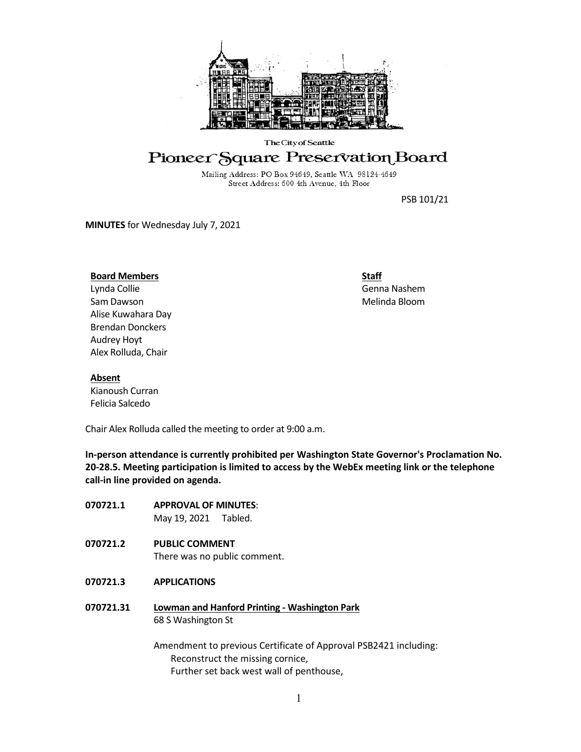

#### The City of Seattle

# Pioneer Square Preservation Board

Mailing Address: PO Box 94649, Seattle WA 98124-4649 Street Address: 600 4th Avenue, 4th Floor

PSB 101/21

**MINUTES** for Wednesday July 7, 2021

## **Board Members**

Lynda Collie Sam Dawson Alise Kuwahara Day Brendan Donckers Audrey Hoyt Alex Rolluda, Chair

**Staff** Genna Nashem Melinda Bloom

#### **Absent**

Kianoush Curran Felicia Salcedo

Chair Alex Rolluda called the meeting to order at 9:00 a.m.

**In-person attendance is currently prohibited per Washington State Governor's Proclamation No. 20-28.5. Meeting participation is limited to access by the WebEx meeting link or the telephone call-in line provided on agenda.**

| 070721.1  | <b>APPROVAL OF MINUTES:</b><br>May 19, 2021 Tabled.                                                  |
|-----------|------------------------------------------------------------------------------------------------------|
| 070721.2  | <b>PUBLIC COMMENT</b><br>There was no public comment.                                                |
| 070721.3  | <b>APPLICATIONS</b>                                                                                  |
| 070721.31 | Lowman and Hanford Printing - Washington Park<br>68 S Washington St                                  |
|           | Amendment to previous Certificate of Approval PSB2421 including:<br>Reconstruct the missing cornice, |

Further set back west wall of penthouse,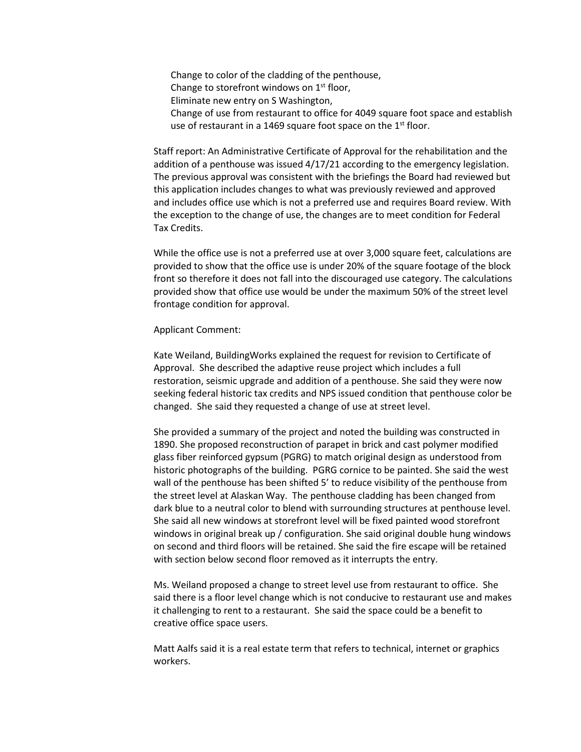Change to color of the cladding of the penthouse, Change to storefront windows on  $1<sup>st</sup>$  floor, Eliminate new entry on S Washington, Change of use from restaurant to office for 4049 square foot space and establish use of restaurant in a 1469 square foot space on the 1<sup>st</sup> floor.

Staff report: An Administrative Certificate of Approval for the rehabilitation and the addition of a penthouse was issued 4/17/21 according to the emergency legislation. The previous approval was consistent with the briefings the Board had reviewed but this application includes changes to what was previously reviewed and approved and includes office use which is not a preferred use and requires Board review. With the exception to the change of use, the changes are to meet condition for Federal Tax Credits.

While the office use is not a preferred use at over 3,000 square feet, calculations are provided to show that the office use is under 20% of the square footage of the block front so therefore it does not fall into the discouraged use category. The calculations provided show that office use would be under the maximum 50% of the street level frontage condition for approval.

#### Applicant Comment:

Kate Weiland, BuildingWorks explained the request for revision to Certificate of Approval. She described the adaptive reuse project which includes a full restoration, seismic upgrade and addition of a penthouse. She said they were now seeking federal historic tax credits and NPS issued condition that penthouse color be changed. She said they requested a change of use at street level.

She provided a summary of the project and noted the building was constructed in 1890. She proposed reconstruction of parapet in brick and cast polymer modified glass fiber reinforced gypsum (PGRG) to match original design as understood from historic photographs of the building. PGRG cornice to be painted. She said the west wall of the penthouse has been shifted 5' to reduce visibility of the penthouse from the street level at Alaskan Way. The penthouse cladding has been changed from dark blue to a neutral color to blend with surrounding structures at penthouse level. She said all new windows at storefront level will be fixed painted wood storefront windows in original break up / configuration. She said original double hung windows on second and third floors will be retained. She said the fire escape will be retained with section below second floor removed as it interrupts the entry.

Ms. Weiland proposed a change to street level use from restaurant to office. She said there is a floor level change which is not conducive to restaurant use and makes it challenging to rent to a restaurant. She said the space could be a benefit to creative office space users.

Matt Aalfs said it is a real estate term that refers to technical, internet or graphics workers.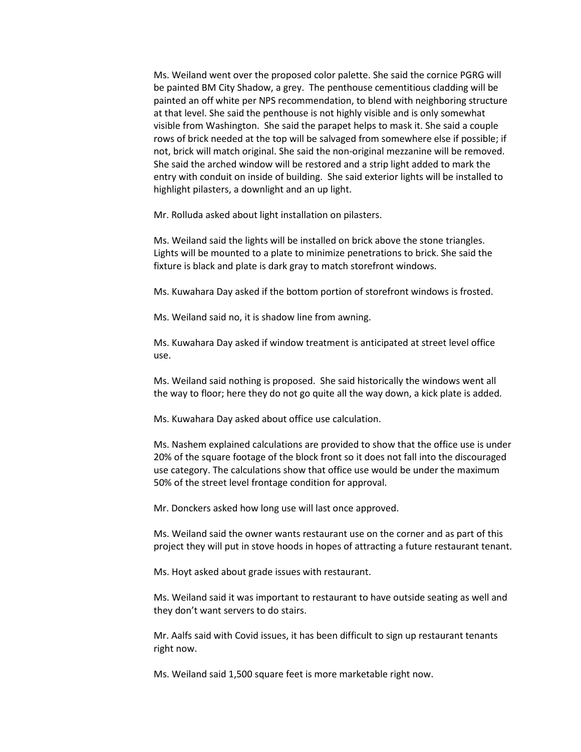Ms. Weiland went over the proposed color palette. She said the cornice PGRG will be painted BM City Shadow, a grey. The penthouse cementitious cladding will be painted an off white per NPS recommendation, to blend with neighboring structure at that level. She said the penthouse is not highly visible and is only somewhat visible from Washington. She said the parapet helps to mask it. She said a couple rows of brick needed at the top will be salvaged from somewhere else if possible; if not, brick will match original. She said the non-original mezzanine will be removed. She said the arched window will be restored and a strip light added to mark the entry with conduit on inside of building. She said exterior lights will be installed to highlight pilasters, a downlight and an up light.

Mr. Rolluda asked about light installation on pilasters.

Ms. Weiland said the lights will be installed on brick above the stone triangles. Lights will be mounted to a plate to minimize penetrations to brick. She said the fixture is black and plate is dark gray to match storefront windows.

Ms. Kuwahara Day asked if the bottom portion of storefront windows is frosted.

Ms. Weiland said no, it is shadow line from awning.

Ms. Kuwahara Day asked if window treatment is anticipated at street level office use.

Ms. Weiland said nothing is proposed. She said historically the windows went all the way to floor; here they do not go quite all the way down, a kick plate is added.

Ms. Kuwahara Day asked about office use calculation.

Ms. Nashem explained calculations are provided to show that the office use is under 20% of the square footage of the block front so it does not fall into the discouraged use category. The calculations show that office use would be under the maximum 50% of the street level frontage condition for approval.

Mr. Donckers asked how long use will last once approved.

Ms. Weiland said the owner wants restaurant use on the corner and as part of this project they will put in stove hoods in hopes of attracting a future restaurant tenant.

Ms. Hoyt asked about grade issues with restaurant.

Ms. Weiland said it was important to restaurant to have outside seating as well and they don't want servers to do stairs.

Mr. Aalfs said with Covid issues, it has been difficult to sign up restaurant tenants right now.

Ms. Weiland said 1,500 square feet is more marketable right now.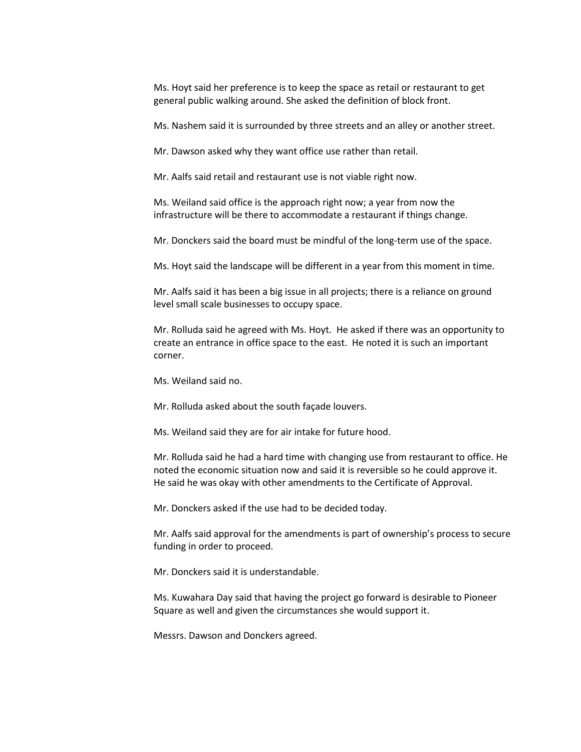Ms. Hoyt said her preference is to keep the space as retail or restaurant to get general public walking around. She asked the definition of block front.

Ms. Nashem said it is surrounded by three streets and an alley or another street.

Mr. Dawson asked why they want office use rather than retail.

Mr. Aalfs said retail and restaurant use is not viable right now.

Ms. Weiland said office is the approach right now; a year from now the infrastructure will be there to accommodate a restaurant if things change.

Mr. Donckers said the board must be mindful of the long-term use of the space.

Ms. Hoyt said the landscape will be different in a year from this moment in time.

Mr. Aalfs said it has been a big issue in all projects; there is a reliance on ground level small scale businesses to occupy space.

Mr. Rolluda said he agreed with Ms. Hoyt. He asked if there was an opportunity to create an entrance in office space to the east. He noted it is such an important corner.

Ms. Weiland said no.

Mr. Rolluda asked about the south façade louvers.

Ms. Weiland said they are for air intake for future hood.

Mr. Rolluda said he had a hard time with changing use from restaurant to office. He noted the economic situation now and said it is reversible so he could approve it. He said he was okay with other amendments to the Certificate of Approval.

Mr. Donckers asked if the use had to be decided today.

Mr. Aalfs said approval for the amendments is part of ownership's process to secure funding in order to proceed.

Mr. Donckers said it is understandable.

Ms. Kuwahara Day said that having the project go forward is desirable to Pioneer Square as well and given the circumstances she would support it.

Messrs. Dawson and Donckers agreed.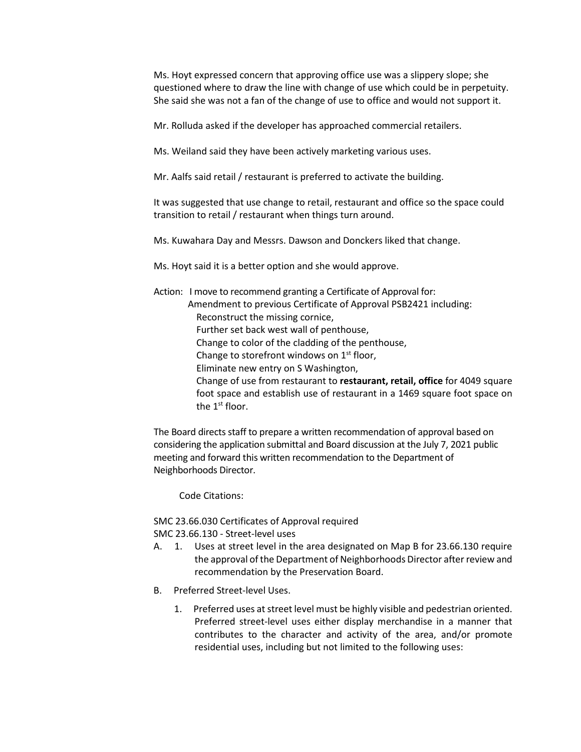Ms. Hoyt expressed concern that approving office use was a slippery slope; she questioned where to draw the line with change of use which could be in perpetuity. She said she was not a fan of the change of use to office and would not support it.

Mr. Rolluda asked if the developer has approached commercial retailers.

Ms. Weiland said they have been actively marketing various uses.

Mr. Aalfs said retail / restaurant is preferred to activate the building.

It was suggested that use change to retail, restaurant and office so the space could transition to retail / restaurant when things turn around.

Ms. Kuwahara Day and Messrs. Dawson and Donckers liked that change.

Ms. Hoyt said it is a better option and she would approve.

Action: I move to recommend granting a Certificate of Approval for: Amendment to previous Certificate of Approval PSB2421 including: Reconstruct the missing cornice, Further set back west wall of penthouse, Change to color of the cladding of the penthouse, Change to storefront windows on  $1<sup>st</sup>$  floor, Eliminate new entry on S Washington, Change of use from restaurant to **restaurant, retail, office** for 4049 square foot space and establish use of restaurant in a 1469 square foot space on the 1<sup>st</sup> floor.

The Board directs staff to prepare a written recommendation of approval based on considering the application submittal and Board discussion at the July 7, 2021 public meeting and forward this written recommendation to the Department of Neighborhoods Director.

Code Citations:

SMC 23.66.030 Certificates of Approval required SMC 23.66.130 - Street-level uses

- A. 1. Uses at street level in the area designated on Map B for 23.66.130 require the approval of the Department of Neighborhoods Director after review and recommendation by the Preservation Board.
- B. Preferred Street-level Uses.
	- 1. Preferred uses at street level must be highly visible and pedestrian oriented. Preferred street-level uses either display merchandise in a manner that contributes to the character and activity of the area, and/or promote residential uses, including but not limited to the following uses: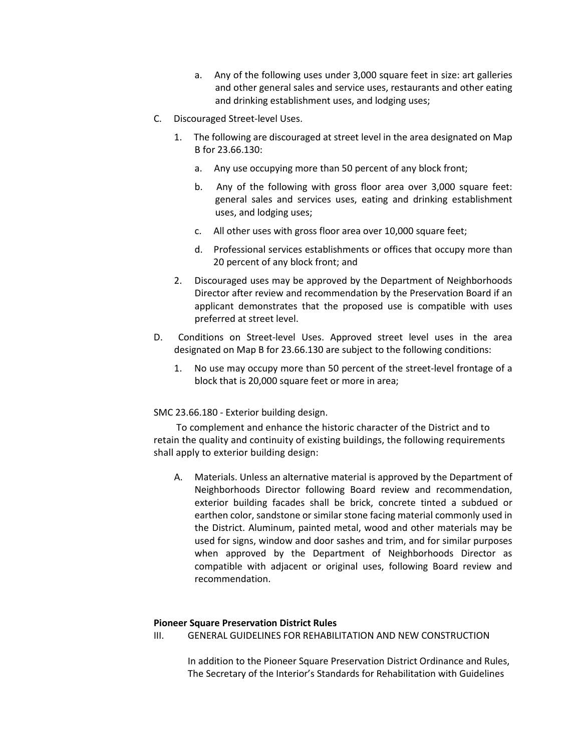- a. Any of the following uses under 3,000 square feet in size: art galleries and other general sales and service uses, restaurants and other eating and drinking establishment uses, and lodging uses;
- C. Discouraged Street-level Uses.
	- 1. The following are discouraged at street level in the area designated on Map B for 23.66.130:
		- a. Any use occupying more than 50 percent of any block front;
		- b. Any of the following with gross floor area over 3,000 square feet: general sales and services uses, eating and drinking establishment uses, and lodging uses;
		- c. All other uses with gross floor area over 10,000 square feet;
		- d. Professional services establishments or offices that occupy more than 20 percent of any block front; and
	- 2. Discouraged uses may be approved by the Department of Neighborhoods Director after review and recommendation by the Preservation Board if an applicant demonstrates that the proposed use is compatible with uses preferred at street level.
- D. Conditions on Street-level Uses. Approved street level uses in the area designated on Map B for 23.66.130 are subject to the following conditions:
	- 1. No use may occupy more than 50 percent of the street-level frontage of a block that is 20,000 square feet or more in area;

SMC 23.66.180 - Exterior building design.

To complement and enhance the historic character of the District and to retain the quality and continuity of existing buildings, the following requirements shall apply to exterior building design:

A. Materials. Unless an alternative material is approved by the Department of Neighborhoods Director following Board review and recommendation, exterior building facades shall be brick, concrete tinted a subdued or earthen color, sandstone or similar stone facing material commonly used in the District. Aluminum, painted metal, wood and other materials may be used for signs, window and door sashes and trim, and for similar purposes when approved by the Department of Neighborhoods Director as compatible with adjacent or original uses, following Board review and recommendation.

# **Pioneer Square Preservation District Rules**

III. GENERAL GUIDELINES FOR REHABILITATION AND NEW CONSTRUCTION

In addition to the Pioneer Square Preservation District Ordinance and Rules, The Secretary of the Interior's Standards for Rehabilitation with Guidelines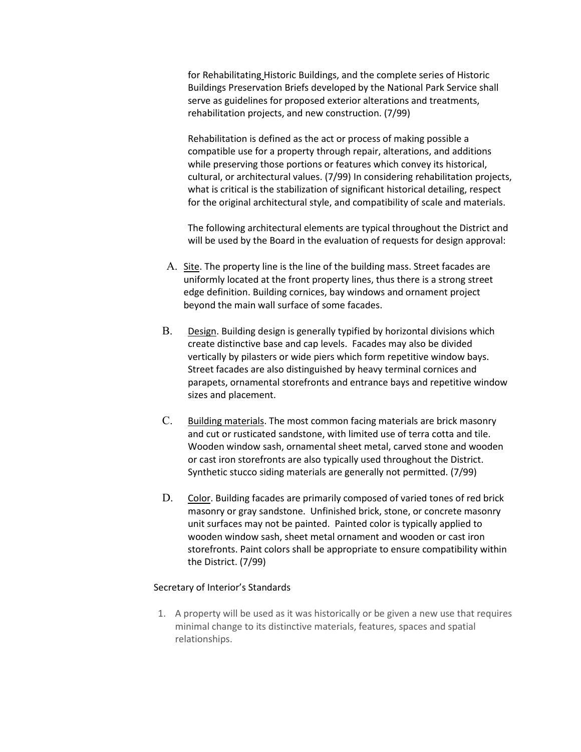for Rehabilitating Historic Buildings, and the complete series of Historic Buildings Preservation Briefs developed by the National Park Service shall serve as guidelines for proposed exterior alterations and treatments, rehabilitation projects, and new construction. (7/99)

Rehabilitation is defined as the act or process of making possible a compatible use for a property through repair, alterations, and additions while preserving those portions or features which convey its historical, cultural, or architectural values. (7/99) In considering rehabilitation projects, what is critical is the stabilization of significant historical detailing, respect for the original architectural style, and compatibility of scale and materials.

The following architectural elements are typical throughout the District and will be used by the Board in the evaluation of requests for design approval:

- A. Site. The property line is the line of the building mass. Street facades are uniformly located at the front property lines, thus there is a strong street edge definition. Building cornices, bay windows and ornament project beyond the main wall surface of some facades.
- B. Design. Building design is generally typified by horizontal divisions which create distinctive base and cap levels. Facades may also be divided vertically by pilasters or wide piers which form repetitive window bays. Street facades are also distinguished by heavy terminal cornices and parapets, ornamental storefronts and entrance bays and repetitive window sizes and placement.
- C. Building materials. The most common facing materials are brick masonry and cut or rusticated sandstone, with limited use of terra cotta and tile. Wooden window sash, ornamental sheet metal, carved stone and wooden or cast iron storefronts are also typically used throughout the District. Synthetic stucco siding materials are generally not permitted. (7/99)
- D. Color. Building facades are primarily composed of varied tones of red brick masonry or gray sandstone. Unfinished brick, stone, or concrete masonry unit surfaces may not be painted. Painted color is typically applied to wooden window sash, sheet metal ornament and wooden or cast iron storefronts. Paint colors shall be appropriate to ensure compatibility within the District. (7/99)

### Secretary of Interior's Standards

1. A property will be used as it was historically or be given a new use that requires minimal change to its distinctive materials, features, spaces and spatial relationships.